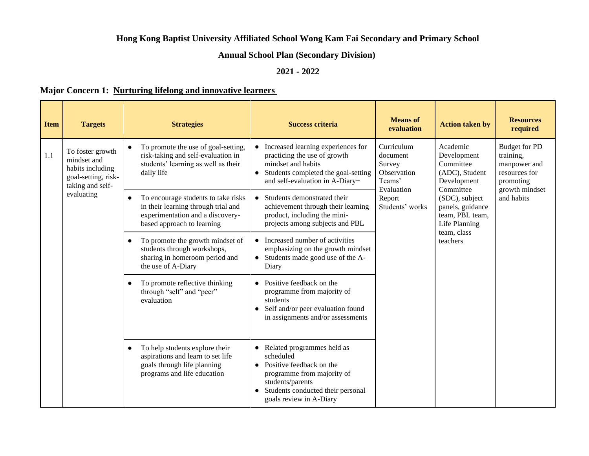### **Hong Kong Baptist University Affiliated School Wong Kam Fai Secondary and Primary School**

## **Annual School Plan (Secondary Division)**

### **2021 - 2022**

#### **Major Concern 1: Nurturing lifelong and innovative learners**

| <b>Item</b> | <b>Targets</b>                                                                                 | <b>Strategies</b>                                                                                                                                                                                                                      | <b>Success criteria</b>                                                                                                                                                                                         | <b>Means</b> of<br>evaluation                             | <b>Action taken by</b>                                                                             | <b>Resources</b><br>required |  |  |                                                                       |  |                                                                                 |
|-------------|------------------------------------------------------------------------------------------------|----------------------------------------------------------------------------------------------------------------------------------------------------------------------------------------------------------------------------------------|-----------------------------------------------------------------------------------------------------------------------------------------------------------------------------------------------------------------|-----------------------------------------------------------|----------------------------------------------------------------------------------------------------|------------------------------|--|--|-----------------------------------------------------------------------|--|---------------------------------------------------------------------------------|
| 1.1         | To foster growth<br>mindset and<br>habits including<br>goal-setting, risk-<br>taking and self- | To promote the use of goal-setting,<br>risk-taking and self-evaluation in<br>students' learning as well as their<br>daily life                                                                                                         | Increased learning experiences for<br>practicing the use of growth<br>mindset and habits<br>Students completed the goal-setting<br>and self-evaluation in A-Diary+                                              | Curriculum<br>document<br>Survey<br>Observation<br>Teams' |                                                                                                    |                              |  |  | Academic<br>Development<br>Committee<br>(ADC), Student<br>Development |  | <b>Budget for PD</b><br>training,<br>manpower and<br>resources for<br>promoting |
|             | evaluating                                                                                     | To encourage students to take risks<br>in their learning through trial and<br>experimentation and a discovery-<br>based approach to learning                                                                                           | Students demonstrated their<br>$\bullet$<br>achievement through their learning<br>product, including the mini-<br>projects among subjects and PBL                                                               | Evaluation<br>Report<br>Students' works                   | Committee<br>(SDC), subject<br>panels, guidance<br>team, PBL team,<br>Life Planning<br>team, class | growth mindset<br>and habits |  |  |                                                                       |  |                                                                                 |
|             |                                                                                                | To promote the growth mindset of<br>students through workshops,<br>sharing in homeroom period and<br>the use of A-Diary                                                                                                                | Increased number of activities<br>$\bullet$<br>emphasizing on the growth mindset<br>Students made good use of the A-<br>$\bullet$<br>Diary                                                                      |                                                           | teachers                                                                                           |                              |  |  |                                                                       |  |                                                                                 |
|             |                                                                                                | To promote reflective thinking<br>Positive feedback on the<br>$\bullet$<br>through "self" and "peer"<br>programme from majority of<br>evaluation<br>students<br>Self and/or peer evaluation found<br>in assignments and/or assessments |                                                                                                                                                                                                                 |                                                           |                                                                                                    |                              |  |  |                                                                       |  |                                                                                 |
|             |                                                                                                | To help students explore their<br>$\bullet$<br>aspirations and learn to set life<br>goals through life planning<br>programs and life education                                                                                         | Related programmes held as<br>$\bullet$<br>scheduled<br>Positive feedback on the<br>$\bullet$<br>programme from majority of<br>students/parents<br>Students conducted their personal<br>goals review in A-Diary |                                                           |                                                                                                    |                              |  |  |                                                                       |  |                                                                                 |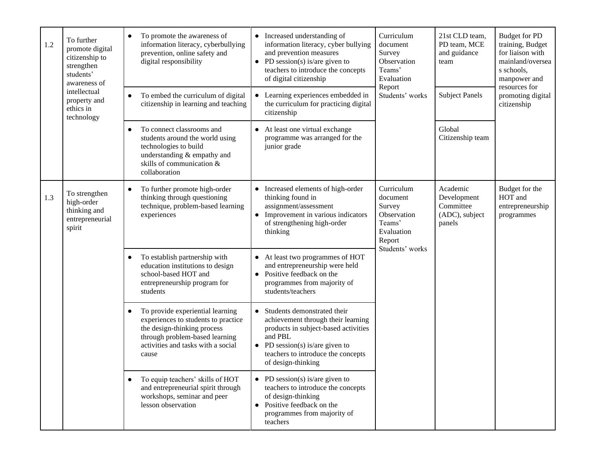| 1.2 | To further<br>promote digital<br>citizenship to<br>strengthen<br>students'<br>awareness of | To promote the awareness of<br>$\bullet$<br>information literacy, cyberbullying<br>prevention, online safety and<br>digital responsibility                                                           | Increased understanding of<br>$\bullet$<br>information literacy, cyber bullying<br>and prevention measures<br>PD session(s) is/are given to<br>teachers to introduce the concepts<br>of digital citizenship                    | Curriculum<br>document<br>Survey<br>Observation<br>Teams'<br>Evaluation<br>Report                    | 21st CLD team,<br>PD team, MCE<br>and guidance<br>team | <b>Budget for PD</b><br>training, Budget<br>for liaison with<br>mainland/oversea<br>s schools,<br>manpower and<br>resources for |                                                             |
|-----|--------------------------------------------------------------------------------------------|------------------------------------------------------------------------------------------------------------------------------------------------------------------------------------------------------|--------------------------------------------------------------------------------------------------------------------------------------------------------------------------------------------------------------------------------|------------------------------------------------------------------------------------------------------|--------------------------------------------------------|---------------------------------------------------------------------------------------------------------------------------------|-------------------------------------------------------------|
|     | intellectual<br>property and<br>ethics in<br>technology                                    | To embed the curriculum of digital<br>citizenship in learning and teaching                                                                                                                           | Learning experiences embedded in<br>$\bullet$<br>the curriculum for practicing digital<br>citizenship                                                                                                                          | Students' works                                                                                      | <b>Subject Panels</b>                                  | promoting digital<br>citizenship                                                                                                |                                                             |
|     |                                                                                            | To connect classrooms and<br>students around the world using<br>technologies to build<br>understanding & empathy and<br>skills of communication &<br>collaboration                                   | At least one virtual exchange<br>programme was arranged for the<br>junior grade                                                                                                                                                | Global                                                                                               | Citizenship team                                       |                                                                                                                                 |                                                             |
| 1.3 | To strengthen<br>high-order<br>thinking and<br>entrepreneurial<br>spirit                   | To further promote high-order<br>thinking through questioning<br>technique, problem-based learning<br>experiences                                                                                    | Increased elements of high-order<br>$\bullet$<br>thinking found in<br>assignment/assessment<br>Improvement in various indicators<br>of strengthening high-order<br>thinking                                                    | Curriculum<br>document<br>Survey<br>Observation<br>Teams'<br>Evaluation<br>Report<br>Students' works | Academic<br>Committee<br>panels                        | Development<br>(ADC), subject                                                                                                   | Budget for the<br>HOT and<br>entrepreneurship<br>programmes |
|     |                                                                                            | To establish partnership with<br>education institutions to design<br>school-based HOT and<br>entrepreneurship program for<br>students                                                                | At least two programmes of HOT<br>$\bullet$<br>and entrepreneurship were held<br>Positive feedback on the<br>$\bullet$<br>programmes from majority of<br>students/teachers                                                     |                                                                                                      |                                                        |                                                                                                                                 |                                                             |
|     |                                                                                            | To provide experiential learning<br>$\bullet$<br>experiences to students to practice<br>the design-thinking process<br>through problem-based learning<br>activities and tasks with a social<br>cause | Students demonstrated their<br>$\bullet$<br>achievement through their learning<br>products in subject-based activities<br>and PBL<br>PD session(s) is/are given to<br>teachers to introduce the concepts<br>of design-thinking |                                                                                                      |                                                        |                                                                                                                                 |                                                             |
|     |                                                                                            | To equip teachers' skills of HOT<br>and entrepreneurial spirit through<br>workshops, seminar and peer<br>lesson observation                                                                          | PD session(s) is/are given to<br>$\bullet$<br>teachers to introduce the concepts<br>of design-thinking<br>Positive feedback on the<br>$\bullet$<br>programmes from majority of<br>teachers                                     |                                                                                                      |                                                        |                                                                                                                                 |                                                             |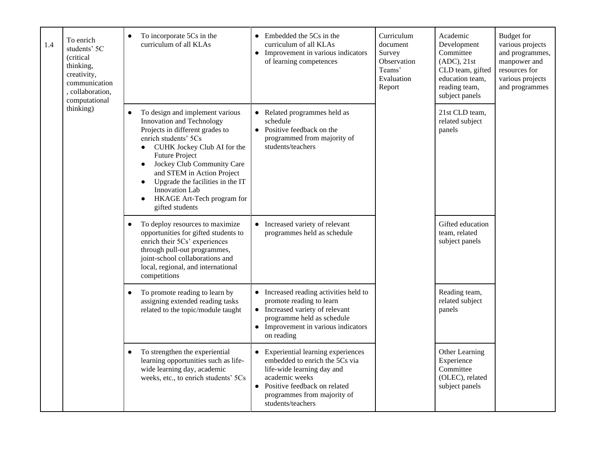| 1.4 | To enrich<br>students' 5C<br>(critical<br>thinking,<br>creativity,<br>communication<br>, collaboration,<br>computational                                                                                                                                                                                                                                                                                                                                                                                                                                                                                                                                                                                                                                                                                                                                                                                                                                                                                                                                                                                                                                                 | To incorporate 5Cs in the<br>$\bullet$<br>curriculum of all KLAs                                                                              | Embedded the 5Cs in the<br>$\bullet$<br>curriculum of all KLAs<br>Improvement in various indicators<br>$\bullet$<br>of learning competences                                                                                       | Curriculum<br>document<br>Survey<br>Observation<br>Teams'<br>Evaluation<br>Report | Academic<br>Development<br>Committee<br>$(ADC)$ , $21st$<br>CLD team, gifted<br>education team,<br>reading team,<br>subject panels | <b>Budget</b> for<br>various projects<br>and programmes,<br>manpower and<br>resources for<br>various projects<br>and programmes |
|-----|--------------------------------------------------------------------------------------------------------------------------------------------------------------------------------------------------------------------------------------------------------------------------------------------------------------------------------------------------------------------------------------------------------------------------------------------------------------------------------------------------------------------------------------------------------------------------------------------------------------------------------------------------------------------------------------------------------------------------------------------------------------------------------------------------------------------------------------------------------------------------------------------------------------------------------------------------------------------------------------------------------------------------------------------------------------------------------------------------------------------------------------------------------------------------|-----------------------------------------------------------------------------------------------------------------------------------------------|-----------------------------------------------------------------------------------------------------------------------------------------------------------------------------------------------------------------------------------|-----------------------------------------------------------------------------------|------------------------------------------------------------------------------------------------------------------------------------|---------------------------------------------------------------------------------------------------------------------------------|
|     | thinking)<br>To design and implement various<br>$\bullet$<br>Innovation and Technology<br>schedule<br>Projects in different grades to<br>Positive feedback on the<br>$\bullet$<br>enrich students' 5Cs<br>programmed from majority of<br>students/teachers<br>• CUHK Jockey Club AI for the<br><b>Future Project</b><br>Jockey Club Community Care<br>$\bullet$<br>and STEM in Action Project<br>Upgrade the facilities in the IT<br>$\bullet$<br><b>Innovation Lab</b><br>HKAGE Art-Tech program for<br>gifted students<br>• Increased variety of relevant<br>To deploy resources to maximize<br>programmes held as schedule<br>opportunities for gifted students to<br>enrich their 5Cs' experiences<br>through pull-out programmes,<br>joint-school collaborations and<br>local, regional, and international<br>competitions<br>To promote reading to learn by<br>Increased reading activities held to<br>$\bullet$<br>assigning extended reading tasks<br>promote reading to learn<br>related to the topic/module taught<br>Increased variety of relevant<br>$\bullet$<br>programme held as schedule<br>Improvement in various indicators<br>$\bullet$<br>on reading | Related programmes held as                                                                                                                    |                                                                                                                                                                                                                                   | 21st CLD team,<br>related subject<br>panels                                       |                                                                                                                                    |                                                                                                                                 |
|     |                                                                                                                                                                                                                                                                                                                                                                                                                                                                                                                                                                                                                                                                                                                                                                                                                                                                                                                                                                                                                                                                                                                                                                          |                                                                                                                                               |                                                                                                                                                                                                                                   | team, related<br>subject panels                                                   | Gifted education                                                                                                                   |                                                                                                                                 |
|     |                                                                                                                                                                                                                                                                                                                                                                                                                                                                                                                                                                                                                                                                                                                                                                                                                                                                                                                                                                                                                                                                                                                                                                          |                                                                                                                                               |                                                                                                                                                                                                                                   | Reading team,<br>related subject<br>panels                                        |                                                                                                                                    |                                                                                                                                 |
|     |                                                                                                                                                                                                                                                                                                                                                                                                                                                                                                                                                                                                                                                                                                                                                                                                                                                                                                                                                                                                                                                                                                                                                                          | To strengthen the experiential<br>learning opportunities such as life-<br>wide learning day, academic<br>weeks, etc., to enrich students' 5Cs | Experiential learning experiences<br>$\bullet$<br>embedded to enrich the 5Cs via<br>life-wide learning day and<br>academic weeks<br>Positive feedback on related<br>$\bullet$<br>programmes from majority of<br>students/teachers | Other Learning<br>Experience<br>Committee<br>subject panels                       | (OLEC), related                                                                                                                    |                                                                                                                                 |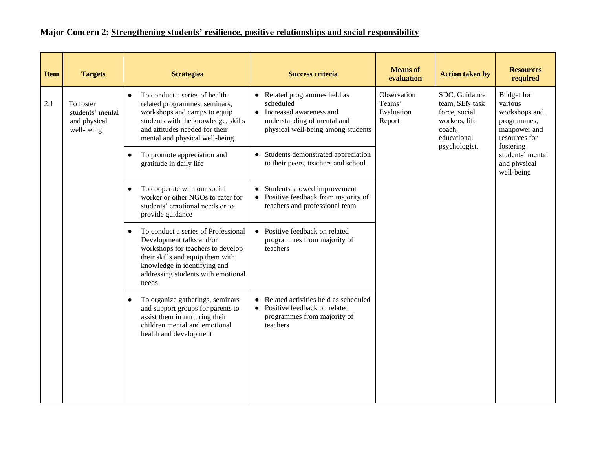# **Major Concern 2: Strengthening students' resilience, positive relationships and social responsibility**

| <b>Item</b> | <b>Targets</b>                                                                                                                                                                                                                                                                                                                                   | <b>Strategies</b>                                                                                                                                                                                                                            | <b>Success criteria</b>                                                                                                      | <b>Means</b> of<br>evaluation                                                              | <b>Action taken by</b>                                                                 | <b>Resources</b><br>required |                                                             |  |
|-------------|--------------------------------------------------------------------------------------------------------------------------------------------------------------------------------------------------------------------------------------------------------------------------------------------------------------------------------------------------|----------------------------------------------------------------------------------------------------------------------------------------------------------------------------------------------------------------------------------------------|------------------------------------------------------------------------------------------------------------------------------|--------------------------------------------------------------------------------------------|----------------------------------------------------------------------------------------|------------------------------|-------------------------------------------------------------|--|
| 2.1         | To conduct a series of health-<br>To foster<br>related programmes, seminars,<br>workshops and camps to equip<br>students' mental<br>$\bullet$<br>students with the knowledge, skills<br>and physical<br>and attitudes needed for their<br>well-being<br>mental and physical well-being<br>To promote appreciation and<br>gratitude in daily life | • Related programmes held as<br>scheduled<br>Increased awareness and<br>understanding of mental and<br>physical well-being among students                                                                                                    | Observation<br>Teams'<br>Evaluation<br>Report                                                                                | SDC, Guidance<br>team, SEN task<br>force, social<br>workers, life<br>coach,<br>educational | Budget for<br>various<br>workshops and<br>programmes,<br>manpower and<br>resources for |                              |                                                             |  |
|             |                                                                                                                                                                                                                                                                                                                                                  |                                                                                                                                                                                                                                              | • Students demonstrated appreciation<br>to their peers, teachers and school                                                  |                                                                                            |                                                                                        | psychologist,                | fostering<br>students' mental<br>and physical<br>well-being |  |
|             |                                                                                                                                                                                                                                                                                                                                                  | Students showed improvement<br>To cooperate with our social<br>$\bullet$<br>worker or other NGOs to cater for<br>Positive feedback from majority of<br>students' emotional needs or to<br>teachers and professional team<br>provide guidance |                                                                                                                              |                                                                                            |                                                                                        |                              |                                                             |  |
|             |                                                                                                                                                                                                                                                                                                                                                  | To conduct a series of Professional<br>$\bullet$<br>Development talks and/or<br>workshops for teachers to develop<br>their skills and equip them with<br>knowledge in identifying and<br>addressing students with emotional<br>needs         | • Positive feedback on related<br>programmes from majority of<br>teachers                                                    |                                                                                            |                                                                                        |                              |                                                             |  |
|             |                                                                                                                                                                                                                                                                                                                                                  | To organize gatherings, seminars<br>and support groups for parents to<br>assist them in nurturing their<br>children mental and emotional<br>health and development                                                                           | Related activities held as scheduled<br>Positive feedback on related<br>$\bullet$<br>programmes from majority of<br>teachers |                                                                                            |                                                                                        |                              |                                                             |  |
|             |                                                                                                                                                                                                                                                                                                                                                  |                                                                                                                                                                                                                                              |                                                                                                                              |                                                                                            |                                                                                        |                              |                                                             |  |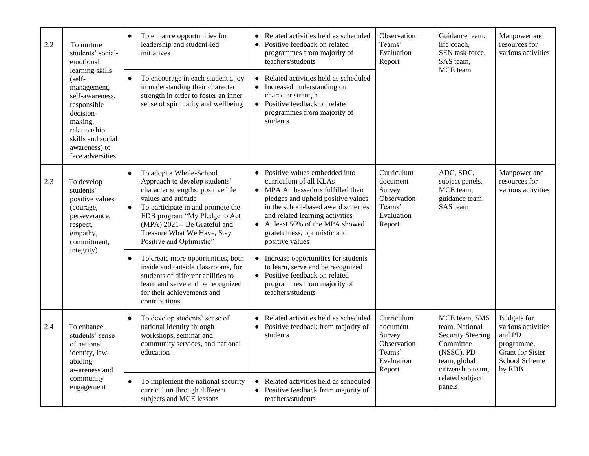| 2.2 | To nurture<br>students' social-<br>emotional                                                                                                                                 | To enhance opportunities for<br>$\bullet$<br>leadership and student-led<br>initiatives                                                                                                                                                                                                                           | Related activities held as scheduled<br>$\bullet$<br>Positive feedback on related<br>$\bullet$<br>programmes from majority of<br>teachers/students                                                                                                                                                                                   | Observation<br>Teams'<br>Evaluation<br>Report                                                                                                                | Guidance team,<br>life coach,<br>SEN task force,<br>SAS team,                                                               | Manpower and<br>resources for<br>various activities                                                                    |
|-----|------------------------------------------------------------------------------------------------------------------------------------------------------------------------------|------------------------------------------------------------------------------------------------------------------------------------------------------------------------------------------------------------------------------------------------------------------------------------------------------------------|--------------------------------------------------------------------------------------------------------------------------------------------------------------------------------------------------------------------------------------------------------------------------------------------------------------------------------------|--------------------------------------------------------------------------------------------------------------------------------------------------------------|-----------------------------------------------------------------------------------------------------------------------------|------------------------------------------------------------------------------------------------------------------------|
|     | learning skills<br>(self-<br>management,<br>self-awareness.<br>responsible<br>decision-<br>making,<br>relationship<br>skills and social<br>awareness) to<br>face adversities | To encourage in each student a joy<br>$\bullet$<br>in understanding their character<br>strength in order to foster an inner<br>sense of spirituality and wellbeing                                                                                                                                               | Related activities held as scheduled<br>$\bullet$<br>Increased understanding on<br>$\bullet$<br>character strength<br>• Positive feedback on related<br>programmes from majority of<br>students                                                                                                                                      |                                                                                                                                                              | MCE team                                                                                                                    |                                                                                                                        |
| 2.3 | To develop<br>students'<br>positive values<br>(courage,<br>perseverance,<br>respect,<br>empathy,<br>commitment,                                                              | To adopt a Whole-School<br>$\bullet$<br>Approach to develop students'<br>character strengths, positive life<br>values and attitude<br>To participate in and promote the<br>$\bullet$<br>EDB program "My Pledge to Act<br>(MPA) 2021-- Be Grateful and<br>Treasure What We Have, Stay<br>Positive and Optimistic" | Positive values embedded into<br>$\bullet$<br>curriculum of all KLAs<br>MPA Ambassadors fulfilled their<br>$\bullet$<br>pledges and upheld positive values<br>in the school-based award schemes<br>and related learning activities<br>At least 50% of the MPA showed<br>$\bullet$<br>gratefulness, optimistic and<br>positive values | Curriculum<br>ADC, SDC,<br>document<br>subject panels,<br>MCE team,<br>Survey<br>Observation<br>guidance team,<br>Teams'<br>SAS team<br>Evaluation<br>Report | Manpower and<br>resources for<br>various activities                                                                         |                                                                                                                        |
|     | integrity)                                                                                                                                                                   | To create more opportunities, both<br>$\bullet$<br>inside and outside classrooms, for<br>students of different abilities to<br>learn and serve and be recognized<br>for their achievements and<br>contributions                                                                                                  | Increase opportunities for students<br>to learn, serve and be recognized<br>Positive feedback on related<br>programmes from majority of<br>teachers/students                                                                                                                                                                         |                                                                                                                                                              |                                                                                                                             |                                                                                                                        |
| 2.4 | To enhance<br>students' sense<br>of national<br>identity, law-<br>abiding<br>awareness and                                                                                   | To develop students' sense of<br>$\bullet$<br>national identity through<br>workshops, seminar and<br>community services, and national<br>education                                                                                                                                                               | Related activities held as scheduled<br>$\bullet$<br>Positive feedback from majority of<br>$\bullet$<br>students                                                                                                                                                                                                                     | Curriculum<br>document<br>Survey<br>Observation<br>Teams'<br>Evaluation<br>Report                                                                            | MCE team, SMS<br>team, National<br><b>Security Steering</b><br>Committee<br>(NSSC), PD<br>team, global<br>citizenship team, | <b>Budgets</b> for<br>various activities<br>and PD<br>programme,<br><b>Grant</b> for Sister<br>School Scheme<br>by EDB |
|     | community<br>engagement                                                                                                                                                      | To implement the national security<br>$\bullet$<br>curriculum through different<br>subjects and MCE lessons                                                                                                                                                                                                      | Related activities held as scheduled<br>$\bullet$<br>Positive feedback from majority of<br>$\bullet$<br>teachers/students                                                                                                                                                                                                            |                                                                                                                                                              | related subject<br>panels                                                                                                   |                                                                                                                        |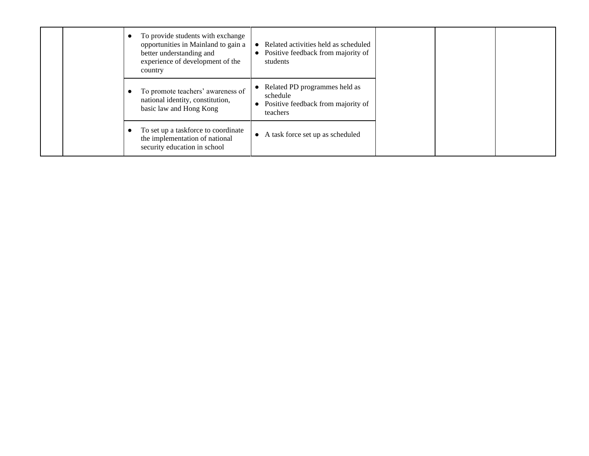|  | To provide students with exchange<br>opportunities in Mainland to gain a<br>better understanding and<br>experience of development of the<br>country | Related activities held as scheduled<br>Positive feedback from majority of<br>students      |  |
|--|-----------------------------------------------------------------------------------------------------------------------------------------------------|---------------------------------------------------------------------------------------------|--|
|  | To promote teachers' awareness of<br>national identity, constitution,<br>basic law and Hong Kong                                                    | Related PD programmes held as<br>schedule<br>Positive feedback from majority of<br>teachers |  |
|  | To set up a taskforce to coordinate<br>the implementation of national<br>security education in school                                               | A task force set up as scheduled<br>$\bullet$                                               |  |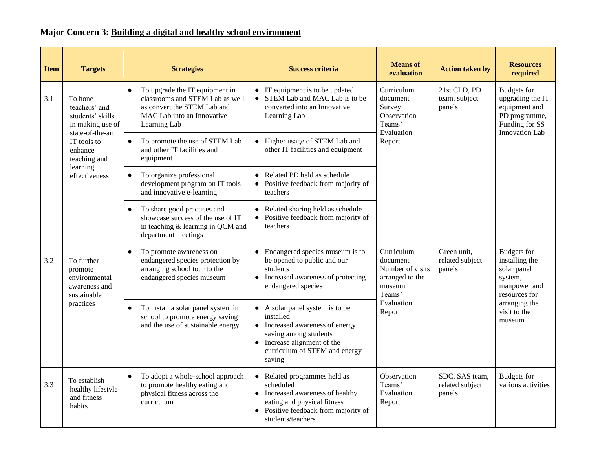# **Major Concern 3: Building a digital and healthy school environment**

| <b>Item</b> | <b>Targets</b>                                                         | <b>Strategies</b>                                                                                                                                           | <b>Success criteria</b>                                                                                                                                                                    | <b>Means</b> of<br>evaluation                                                     | <b>Action taken by</b>                                                                                                                                                                                                                                                                                                                                                 | <b>Resources</b><br>required             |
|-------------|------------------------------------------------------------------------|-------------------------------------------------------------------------------------------------------------------------------------------------------------|--------------------------------------------------------------------------------------------------------------------------------------------------------------------------------------------|-----------------------------------------------------------------------------------|------------------------------------------------------------------------------------------------------------------------------------------------------------------------------------------------------------------------------------------------------------------------------------------------------------------------------------------------------------------------|------------------------------------------|
| 3.1         | To hone<br>teachers' and<br>students' skills<br>in making use of       | To upgrade the IT equipment in<br>$\bullet$<br>classrooms and STEM Lab as well<br>as convert the STEM Lab and<br>MAC Lab into an Innovative<br>Learning Lab | IT equipment is to be updated<br>• STEM Lab and MAC Lab is to be<br>converted into an Innovative<br>Learning Lab                                                                           | Curriculum<br>document<br>Survey<br>Observation<br>Teams'                         | 21st CLD, PD<br><b>Budgets</b> for<br>upgrading the IT<br>team, subject<br>equipment and<br>panels<br>PD programme,<br>Funding for SS<br>Evaluation<br><b>Innovation Lab</b><br><b>Budgets</b> for<br>Green unit,<br>installing the<br>related subject<br>solar panel<br>panels<br>system,<br>manpower and<br>resources for<br>arranging the<br>visit to the<br>museum |                                          |
|             | state-of-the-art<br>IT tools to<br>enhance<br>teaching and             | To promote the use of STEM Lab<br>$\bullet$<br>and other IT facilities and<br>equipment                                                                     | • Higher usage of STEM Lab and<br>other IT facilities and equipment                                                                                                                        | Report                                                                            |                                                                                                                                                                                                                                                                                                                                                                        |                                          |
|             | learning<br>effectiveness                                              | To organize professional<br>$\bullet$<br>development program on IT tools<br>and innovative e-learning                                                       | • Related PD held as schedule<br>Positive feedback from majority of<br>teachers                                                                                                            |                                                                                   |                                                                                                                                                                                                                                                                                                                                                                        |                                          |
|             |                                                                        | To share good practices and<br>showcase success of the use of IT<br>in teaching & learning in QCM and<br>department meetings                                | Related sharing held as schedule<br>Positive feedback from majority of<br>teachers                                                                                                         |                                                                                   |                                                                                                                                                                                                                                                                                                                                                                        |                                          |
| 3.2         | To further<br>promote<br>environmental<br>awareness and<br>sustainable | To promote awareness on<br>$\bullet$<br>endangered species protection by<br>arranging school tour to the<br>endangered species museum                       | • Endangered species museum is to<br>be opened to public and our<br>students<br>• Increased awareness of protecting<br>endangered species                                                  | Curriculum<br>document<br>Number of visits<br>arranged to the<br>museum<br>Teams' |                                                                                                                                                                                                                                                                                                                                                                        |                                          |
|             | practices                                                              | To install a solar panel system in<br>$\bullet$<br>school to promote energy saving<br>and the use of sustainable energy                                     | • A solar panel system is to be<br>installed<br>• Increased awareness of energy<br>saving among students<br>$\bullet$ Increase alignment of the<br>curriculum of STEM and energy<br>saving | Evaluation<br>Report                                                              |                                                                                                                                                                                                                                                                                                                                                                        |                                          |
| 3.3         | To establish<br>healthy lifestyle<br>and fitness<br>habits             | To adopt a whole-school approach<br>$\bullet$<br>to promote healthy eating and<br>physical fitness across the<br>curriculum                                 | Related programmes held as<br>scheduled<br>• Increased awareness of healthy<br>eating and physical fitness<br>• Positive feedback from majority of<br>students/teachers                    | Observation<br>Teams'<br>Evaluation<br>Report                                     | SDC, SAS team,<br>related subject<br>panels                                                                                                                                                                                                                                                                                                                            | <b>Budgets</b> for<br>various activities |